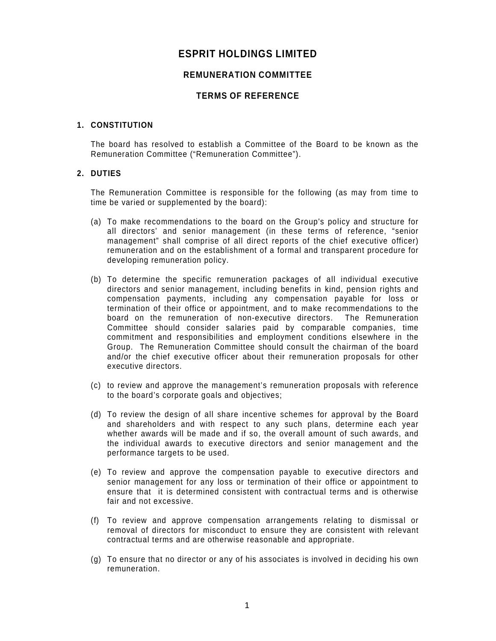# **ESPRIT HOLDINGS LIMITED**

# **REMUNERATION COMMITTEE**

# **TERMS OF REFERENCE**

## **1. CONSTITUTION**

The board has resolved to establish a Committee of the Board to be known as the Remuneration Committee ("Remuneration Committee").

## **2. DUTIES**

The Remuneration Committee is responsible for the following (as may from time to time be varied or supplemented by the board):

- (a) To make recommendations to the board on the Group's policy and structure for all directors' and senior management (in these terms of reference, "senior management" shall comprise of all direct reports of the chief executive officer) remuneration and on the establishment of a formal and transparent procedure for developing remuneration policy.
- (b) To determine the specific remuneration packages of all individual executive directors and senior management, including benefits in kind, pension rights and compensation payments, including any compensation payable for loss or termination of their office or appointment, and to make recommendations to the board on the remuneration of non-executive directors. The Remuneration Committee should consider salaries paid by comparable companies, time commitment and responsibilities and employment conditions elsewhere in the Group. The Remuneration Committee should consult the chairman of the board and/or the chief executive officer about their remuneration proposals for other executive directors.
- (c) to review and approve the management's remuneration proposals with reference to the board's corporate goals and objectives;
- (d) To review the design of all share incentive schemes for approval by the Board and shareholders and with respect to any such plans, determine each year whether awards will be made and if so, the overall amount of such awards, and the individual awards to executive directors and senior management and the performance targets to be used.
- (e) To review and approve the compensation payable to executive directors and senior management for any loss or termination of their office or appointment to ensure that it is determined consistent with contractual terms and is otherwise fair and not excessive.
- (f) To review and approve compensation arrangements relating to dismissal or removal of directors for misconduct to ensure they are consistent with relevant contractual terms and are otherwise reasonable and appropriate.
- (g) To ensure that no director or any of his associates is involved in deciding his own remuneration.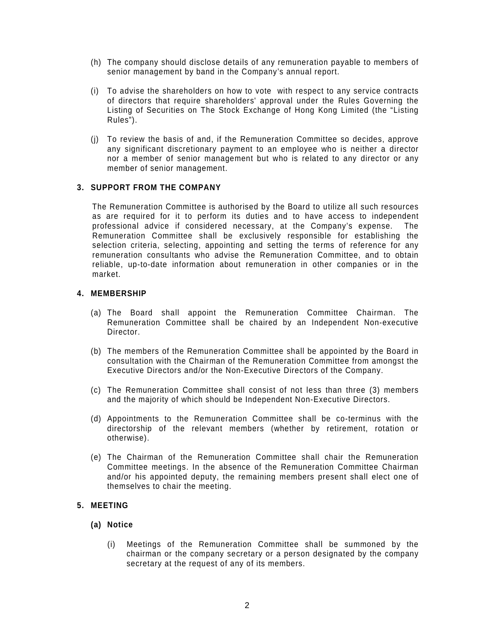- (h) The company should disclose details of any remuneration payable to members of senior management by band in the Company's annual report.
- (i) To advise the shareholders on how to vote with respect to any service contracts of directors that require shareholders' approval under the Rules Governing the Listing of Securities on The Stock Exchange of Hong Kong Limited (the "Listing Rules").
- (j) To review the basis of and, if the Remuneration Committee so decides, approve any significant discretionary payment to an employee who is neither a director nor a member of senior management but who is related to any director or any member of senior management.

# **3. SUPPORT FROM THE COMPANY**

The Remuneration Committee is authorised by the Board to utilize all such resources as are required for it to perform its duties and to have access to independent professional advice if considered necessary, at the Company's expense. The Remuneration Committee shall be exclusively responsible for establishing the selection criteria, selecting, appointing and setting the terms of reference for any remuneration consultants who advise the Remuneration Committee, and to obtain reliable, up-to-date information about remuneration in other companies or in the market.

## **4. MEMBERSHIP**

- (a) The Board shall appoint the Remuneration Committee Chairman. The Remuneration Committee shall be chaired by an Independent Non-executive Director.
- (b) The members of the Remuneration Committee shall be appointed by the Board in consultation with the Chairman of the Remuneration Committee from amongst the Executive Directors and/or the Non-Executive Directors of the Company.
- (c) The Remuneration Committee shall consist of not less than three (3) members and the majority of which should be Independent Non-Executive Directors.
- (d) Appointments to the Remuneration Committee shall be co-terminus with the directorship of the relevant members (whether by retirement, rotation or otherwise).
- (e) The Chairman of the Remuneration Committee shall chair the Remuneration Committee meetings. In the absence of the Remuneration Committee Chairman and/or his appointed deputy, the remaining members present shall elect one of themselves to chair the meeting.

## **5. MEETING**

## **(a) Notice**

(i) Meetings of the Remuneration Committee shall be summoned by the chairman or the company secretary or a person designated by the company secretary at the request of any of its members.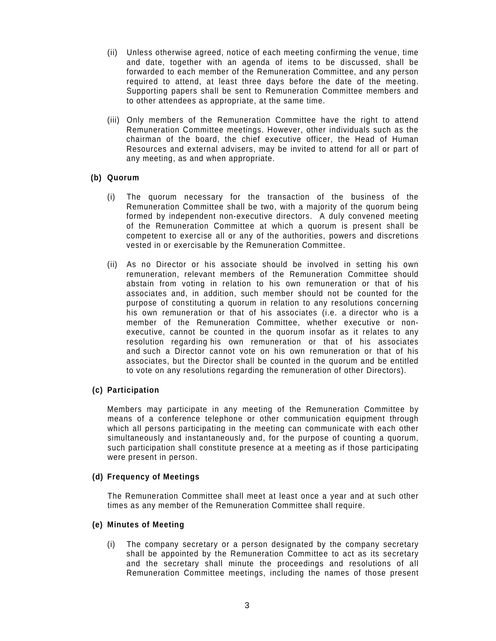- (ii) Unless otherwise agreed, notice of each meeting confirming the venue, time and date, together with an agenda of items to be discussed, shall be forwarded to each member of the Remuneration Committee, and any person required to attend, at least three days before the date of the meeting. Supporting papers shall be sent to Remuneration Committee members and to other attendees as appropriate, at the same time.
- (iii) Only members of the Remuneration Committee have the right to attend Remuneration Committee meetings. However, other individuals such as the chairman of the board, the chief executive officer, the Head of Human Resources and external advisers, may be invited to attend for all or part of any meeting, as and when appropriate.

## **(b) Quorum**

- (i) The quorum necessary for the transaction of the business of the Remuneration Committee shall be two, with a majority of the quorum being formed by independent non-executive directors. A duly convened meeting of the Remuneration Committee at which a quorum is present shall be competent to exercise all or any of the authorities, powers and discretions vested in or exercisable by the Remuneration Committee.
- (ii) As no Director or his associate should be involved in setting his own remuneration, relevant members of the Remuneration Committee should abstain from voting in relation to his own remuneration or that of his associates and, in addition, such member should not be counted for the purpose of constituting a quorum in relation to any resolutions concerning his own remuneration or that of his associates (i.e. a director who is a member of the Remuneration Committee, whether executive or nonexecutive, cannot be counted in the quorum insofar as it relates to any resolution regarding his own remuneration or that of his associates and such a Director cannot vote on his own remuneration or that of his associates, but the Director shall be counted in the quorum and be entitled to vote on any resolutions regarding the remuneration of other Directors).

## **(c) Participation**

 Members may participate in any meeting of the Remuneration Committee by means of a conference telephone or other communication equipment through which all persons participating in the meeting can communicate with each other simultaneously and instantaneously and, for the purpose of counting a quorum, such participation shall constitute presence at a meeting as if those participating were present in person.

#### **(d) Frequency of Meetings**

The Remuneration Committee shall meet at least once a year and at such other times as any member of the Remuneration Committee shall require.

#### **(e) Minutes of Meeting**

(i) The company secretary or a person designated by the company secretary shall be appointed by the Remuneration Committee to act as its secretary and the secretary shall minute the proceedings and resolutions of all Remuneration Committee meetings, including the names of those present